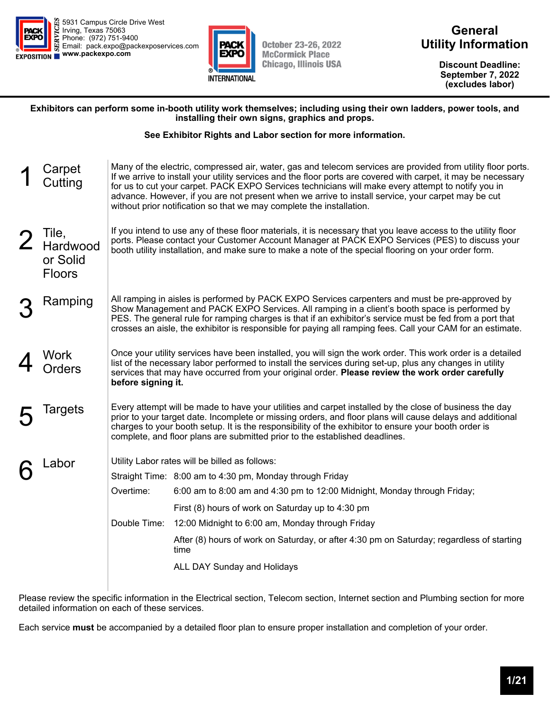



**General Utility Information** 

> **Discount Deadline: September 7, 2022 (excludes labor)**

#### **Exhibitors can perform some in-booth utility work themselves; including using their own ladders, power tools, and installing their own signs, graphics and props.**

#### **See Exhibitor Rights and Labor section for more information.**

| Carpet<br>Cutting                              |              | Many of the electric, compressed air, water, gas and telecom services are provided from utility floor ports.<br>If we arrive to install your utility services and the floor ports are covered with carpet, it may be necessary<br>for us to cut your carpet. PACK EXPO Services technicians will make every attempt to notify you in<br>advance. However, if you are not present when we arrive to install service, your carpet may be cut<br>without prior notification so that we may complete the installation. |  |  |  |  |  |
|------------------------------------------------|--------------|--------------------------------------------------------------------------------------------------------------------------------------------------------------------------------------------------------------------------------------------------------------------------------------------------------------------------------------------------------------------------------------------------------------------------------------------------------------------------------------------------------------------|--|--|--|--|--|
| Tile,<br>Hardwood<br>or Solid<br><b>Floors</b> |              | If you intend to use any of these floor materials, it is necessary that you leave access to the utility floor<br>ports. Please contact your Customer Account Manager at PACK EXPO Services (PES) to discuss your<br>booth utility installation, and make sure to make a note of the special flooring on your order form.                                                                                                                                                                                           |  |  |  |  |  |
| Ramping                                        |              | All ramping in aisles is performed by PACK EXPO Services carpenters and must be pre-approved by<br>Show Management and PACK EXPO Services. All ramping in a client's booth space is performed by<br>PES. The general rule for ramping charges is that if an exhibitor's service must be fed from a port that<br>crosses an aisle, the exhibitor is responsible for paying all ramping fees. Call your CAM for an estimate.                                                                                         |  |  |  |  |  |
| Work<br>Orders                                 |              | Once your utility services have been installed, you will sign the work order. This work order is a detailed<br>list of the necessary labor performed to install the services during set-up, plus any changes in utility<br>services that may have occurred from your original order. Please review the work order carefully<br>before signing it.                                                                                                                                                                  |  |  |  |  |  |
| Targets                                        |              | Every attempt will be made to have your utilities and carpet installed by the close of business the day<br>prior to your target date. Incomplete or missing orders, and floor plans will cause delays and additional<br>charges to your booth setup. It is the responsibility of the exhibitor to ensure your booth order is<br>complete, and floor plans are submitted prior to the established deadlines.                                                                                                        |  |  |  |  |  |
| Labor                                          |              | Utility Labor rates will be billed as follows:                                                                                                                                                                                                                                                                                                                                                                                                                                                                     |  |  |  |  |  |
|                                                |              | Straight Time: 8:00 am to 4:30 pm, Monday through Friday                                                                                                                                                                                                                                                                                                                                                                                                                                                           |  |  |  |  |  |
|                                                | Overtime:    | 6:00 am to 8:00 am and 4:30 pm to 12:00 Midnight, Monday through Friday;                                                                                                                                                                                                                                                                                                                                                                                                                                           |  |  |  |  |  |
|                                                |              | First (8) hours of work on Saturday up to 4:30 pm                                                                                                                                                                                                                                                                                                                                                                                                                                                                  |  |  |  |  |  |
|                                                | Double Time: | 12:00 Midnight to 6:00 am, Monday through Friday                                                                                                                                                                                                                                                                                                                                                                                                                                                                   |  |  |  |  |  |
|                                                |              | After (8) hours of work on Saturday, or after 4:30 pm on Saturday; regardless of starting<br>time                                                                                                                                                                                                                                                                                                                                                                                                                  |  |  |  |  |  |
|                                                |              | ALL DAY Sunday and Holidays                                                                                                                                                                                                                                                                                                                                                                                                                                                                                        |  |  |  |  |  |

Please review the specific information in the Electrical section, Telecom section, Internet section and Plumbing section for more detailed information on each of these services.

Each service **must** be accompanied by a detailed floor plan to ensure proper installation and completion of your order.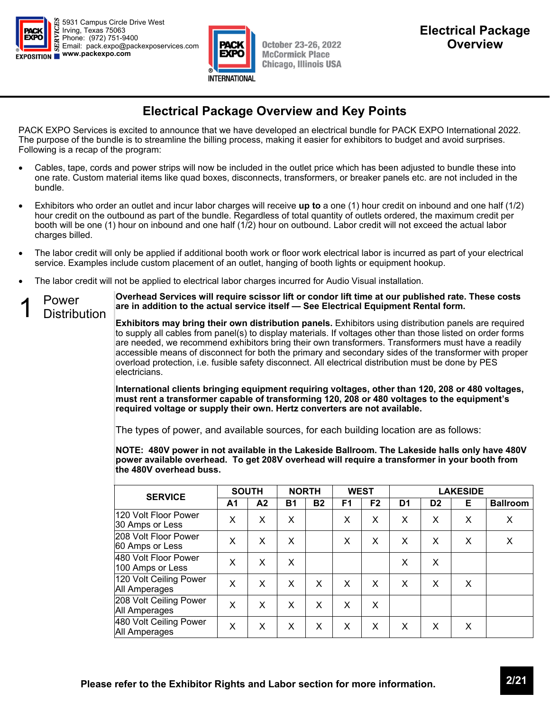



### **Electrical Package Overview and Key Points**

PACK EXPO Services is excited to announce that we have developed an electrical bundle for PACK EXPO International 2022. The purpose of the bundle is to streamline the billing process, making it easier for exhibitors to budget and avoid surprises. Following is a recap of the program:

- Cables, tape, cords and power strips will now be included in the outlet price which has been adjusted to bundle these into one rate. Custom material items like quad boxes, disconnects, transformers, or breaker panels etc. are not included in the bundle.
- Exhibitors who order an outlet and incur labor charges will receive **up to** a one (1) hour credit on inbound and one half (1/2) hour credit on the outbound as part of the bundle. Regardless of total quantity of outlets ordered, the maximum credit per booth will be one (1) hour on inbound and one half (1/2) hour on outbound. Labor credit will not exceed the actual labor charges billed.
- The labor credit will only be applied if additional booth work or floor work electrical labor is incurred as part of your electrical service. Examples include custom placement of an outlet, hanging of booth lights or equipment hookup.
- The labor credit will not be applied to electrical labor charges incurred for Audio Visual installation.



**Overhead Services will require scissor lift or condor lift time at our published rate. These costs are in addition to the actual service itself — See Electrical Equipment Rental form.** 

**Exhibitors may bring their own distribution panels.** Exhibitors using distribution panels are required to supply all cables from panel(s) to display materials. If voltages other than those listed on order forms are needed, we recommend exhibitors bring their own transformers. Transformers must have a readily accessible means of disconnect for both the primary and secondary sides of the transformer with proper overload protection, i.e. fusible safety disconnect. All electrical distribution must be done by PES electricians.

**International clients bringing equipment requiring voltages, other than 120, 208 or 480 voltages, must rent a transformer capable of transforming 120, 208 or 480 voltages to the equipment's required voltage or supply their own. Hertz converters are not available.** 

The types of power, and available sources, for each building location are as follows:

**NOTE: 480V power in not available in the Lakeside Ballroom. The Lakeside halls only have 480V power available overhead. To get 208V overhead will require a transformer in your booth from the 480V overhead buss.** 

| <b>SERVICE</b>                           | <b>SOUTH</b> |                | <b>NORTH</b> |           | <b>WEST</b>    |                | <b>LAKESIDE</b> |                |   |                 |
|------------------------------------------|--------------|----------------|--------------|-----------|----------------|----------------|-----------------|----------------|---|-----------------|
|                                          | Α1           | A <sub>2</sub> | <b>B1</b>    | <b>B2</b> | F <sub>1</sub> | F <sub>2</sub> | D <sub>1</sub>  | D <sub>2</sub> | Е | <b>Ballroom</b> |
| 120 Volt Floor Power<br>30 Amps or Less  | X            | X              | X            |           | X              | X              | X               | X              | X | X               |
| 208 Volt Floor Power<br>60 Amps or Less  | X            | X              | X            |           | X              | X              | X               | X              | X | X               |
| 480 Volt Floor Power<br>100 Amps or Less | X            | X              | X            |           |                |                | X               | X              |   |                 |
| 120 Volt Ceiling Power<br>All Amperages  | X            | X              | X            | X         | X              | X              | X               | X              | X |                 |
| 208 Volt Ceiling Power<br>All Amperages  | X            | X              | X            | X         | X              | X              |                 |                |   |                 |
| 480 Volt Ceiling Power<br>All Amperages  | X            | X              | X            | X         | X              | X              | X               | X              | X |                 |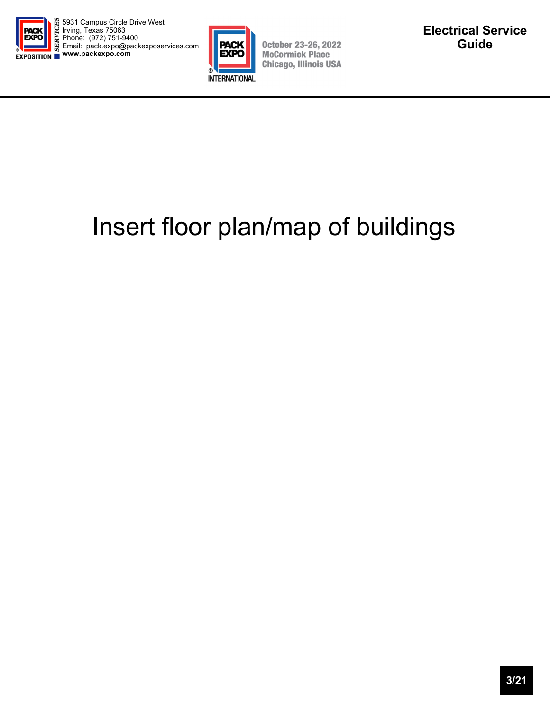



**October 23-26, 2022 McCormick Place Chicago, Illinois USA** 

# Insert floor plan/map of buildings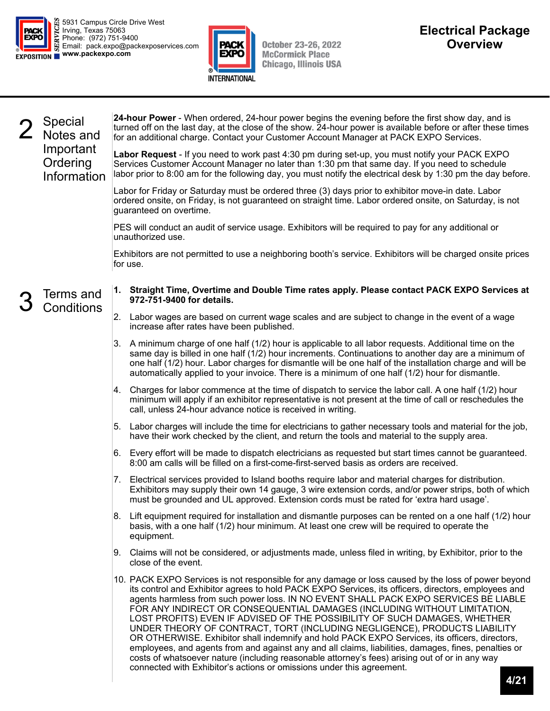



October 23-26, 2022<br>McCormick Place<br>Chicago, Illinois USA

|  | <b>Special</b><br>Notes and          | 24-hour Power - When ordered, 24-hour power begins the evening before the first show day, and is<br>turned off on the last day, at the close of the show. 24-hour power is available before or after these times<br>for an additional charge. Contact your Customer Account Manager at PACK EXPO Services.                                                                                                                                                                                                                                                                                                                                                                                                                                                                                                                                                                                                                   |
|--|--------------------------------------|------------------------------------------------------------------------------------------------------------------------------------------------------------------------------------------------------------------------------------------------------------------------------------------------------------------------------------------------------------------------------------------------------------------------------------------------------------------------------------------------------------------------------------------------------------------------------------------------------------------------------------------------------------------------------------------------------------------------------------------------------------------------------------------------------------------------------------------------------------------------------------------------------------------------------|
|  | Important<br>Ordering<br>Information | Labor Request - If you need to work past 4:30 pm during set-up, you must notify your PACK EXPO<br>Services Customer Account Manager no later than 1:30 pm that same day. If you need to schedule<br>labor prior to 8:00 am for the following day, you must notify the electrical desk by 1:30 pm the day before.                                                                                                                                                                                                                                                                                                                                                                                                                                                                                                                                                                                                             |
|  |                                      | Labor for Friday or Saturday must be ordered three (3) days prior to exhibitor move-in date. Labor<br>ordered onsite, on Friday, is not guaranteed on straight time. Labor ordered onsite, on Saturday, is not<br>guaranteed on overtime.                                                                                                                                                                                                                                                                                                                                                                                                                                                                                                                                                                                                                                                                                    |
|  |                                      | PES will conduct an audit of service usage. Exhibitors will be required to pay for any additional or<br>unauthorized use.                                                                                                                                                                                                                                                                                                                                                                                                                                                                                                                                                                                                                                                                                                                                                                                                    |
|  |                                      | Exhibitors are not permitted to use a neighboring booth's service. Exhibitors will be charged onsite prices<br>for use.                                                                                                                                                                                                                                                                                                                                                                                                                                                                                                                                                                                                                                                                                                                                                                                                      |
|  | Terms and                            | 1. Straight Time, Overtime and Double Time rates apply. Please contact PACK EXPO Services at<br>972-751-9400 for details.                                                                                                                                                                                                                                                                                                                                                                                                                                                                                                                                                                                                                                                                                                                                                                                                    |
|  | <b>Conditions</b>                    | Labor wages are based on current wage scales and are subject to change in the event of a wage<br>2.<br>increase after rates have been published.                                                                                                                                                                                                                                                                                                                                                                                                                                                                                                                                                                                                                                                                                                                                                                             |
|  |                                      | A minimum charge of one half (1/2) hour is applicable to all labor requests. Additional time on the<br>3.<br>same day is billed in one half (1/2) hour increments. Continuations to another day are a minimum of<br>one half (1/2) hour. Labor charges for dismantle will be one half of the installation charge and will be<br>automatically applied to your invoice. There is a minimum of one half (1/2) hour for dismantle.                                                                                                                                                                                                                                                                                                                                                                                                                                                                                              |
|  |                                      | Charges for labor commence at the time of dispatch to service the labor call. A one half (1/2) hour<br>Ι4.<br>minimum will apply if an exhibitor representative is not present at the time of call or reschedules the<br>call, unless 24-hour advance notice is received in writing.                                                                                                                                                                                                                                                                                                                                                                                                                                                                                                                                                                                                                                         |
|  |                                      | Labor charges will include the time for electricians to gather necessary tools and material for the job,<br>5.<br>have their work checked by the client, and return the tools and material to the supply area.                                                                                                                                                                                                                                                                                                                                                                                                                                                                                                                                                                                                                                                                                                               |
|  |                                      | 6. Every effort will be made to dispatch electricians as requested but start times cannot be guaranteed.<br>8:00 am calls will be filled on a first-come-first-served basis as orders are received.                                                                                                                                                                                                                                                                                                                                                                                                                                                                                                                                                                                                                                                                                                                          |
|  |                                      | 7. Electrical services provided to Island booths require labor and material charges for distribution.<br>Exhibitors may supply their own 14 gauge, 3 wire extension cords, and/or power strips, both of which<br>must be grounded and UL approved. Extension cords must be rated for 'extra hard usage'.                                                                                                                                                                                                                                                                                                                                                                                                                                                                                                                                                                                                                     |
|  |                                      | 8. Lift equipment required for installation and dismantle purposes can be rented on a one half (1/2) hour<br>basis, with a one half (1/2) hour minimum. At least one crew will be required to operate the<br>equipment.                                                                                                                                                                                                                                                                                                                                                                                                                                                                                                                                                                                                                                                                                                      |
|  |                                      | Claims will not be considered, or adjustments made, unless filed in writing, by Exhibitor, prior to the<br>9.<br>close of the event.                                                                                                                                                                                                                                                                                                                                                                                                                                                                                                                                                                                                                                                                                                                                                                                         |
|  |                                      | 10. PACK EXPO Services is not responsible for any damage or loss caused by the loss of power beyond<br>its control and Exhibitor agrees to hold PACK EXPO Services, its officers, directors, employees and<br>agents harmless from such power loss. IN NO EVENT SHALL PACK EXPO SERVICES BE LIABLE<br>FOR ANY INDIRECT OR CONSEQUENTIAL DAMAGES (INCLUDING WITHOUT LIMITATION,<br>LOST PROFITS) EVEN IF ADVISED OF THE POSSIBILITY OF SUCH DAMAGES, WHETHER<br>UNDER THEORY OF CONTRACT, TORT (INCLUDING NEGLIGENCE), PRODUCTS LIABILITY<br>OR OTHERWISE. Exhibitor shall indemnify and hold PACK EXPO Services, its officers, directors,<br>employees, and agents from and against any and all claims, liabilities, damages, fines, penalties or<br>costs of whatsoever nature (including reasonable attorney's fees) arising out of or in any way<br>connected with Exhibitor's actions or omissions under this agreement. |
|  |                                      | 1121                                                                                                                                                                                                                                                                                                                                                                                                                                                                                                                                                                                                                                                                                                                                                                                                                                                                                                                         |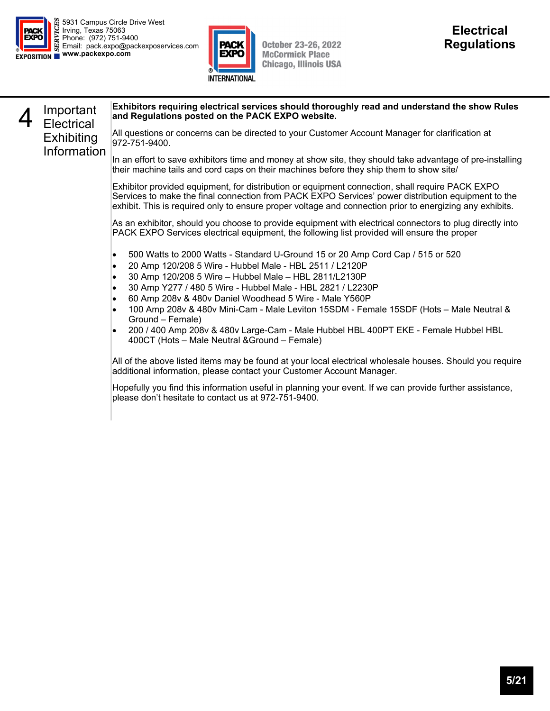

**Exhibiting** Information



**October 23-26, 2022 McCormick Place Chicago, Illinois USA** 

#### 4 Important<br>**4** Electrical **Exhibitors requiring electrical services should thoroughly read and understand the show Rules and Regulations posted on the PACK EXPO website.**

All questions or concerns can be directed to your Customer Account Manager for clarification at 972-751-9400.

In an effort to save exhibitors time and money at show site, they should take advantage of pre-installing their machine tails and cord caps on their machines before they ship them to show site/

Exhibitor provided equipment, for distribution or equipment connection, shall require PACK EXPO Services to make the final connection from PACK EXPO Services' power distribution equipment to the exhibit. This is required only to ensure proper voltage and connection prior to energizing any exhibits.

As an exhibitor, should you choose to provide equipment with electrical connectors to plug directly into PACK EXPO Services electrical equipment, the following list provided will ensure the proper

- 500 Watts to 2000 Watts Standard U-Ground 15 or 20 Amp Cord Cap / 515 or 520
- 20 Amp 120/208 5 Wire Hubbel Male HBL 2511 / L2120P
- 30 Amp 120/208 5 Wire Hubbel Male HBL 2811/L2130P
- 30 Amp Y277 / 480 5 Wire Hubbel Male HBL 2821 / L2230P
- 60 Amp 208v & 480v Daniel Woodhead 5 Wire Male Y560P
- 100 Amp 208v & 480v Mini-Cam Male Leviton 15SDM Female 15SDF (Hots Male Neutral & Ground – Female)
- 200 / 400 Amp 208v & 480v Large-Cam Male Hubbel HBL 400PT EKE Female Hubbel HBL 400CT (Hots – Male Neutral &Ground – Female)

All of the above listed items may be found at your local electrical wholesale houses. Should you require additional information, please contact your Customer Account Manager.

Hopefully you find this information useful in planning your event. If we can provide further assistance, please don't hesitate to contact us at 972-751-9400.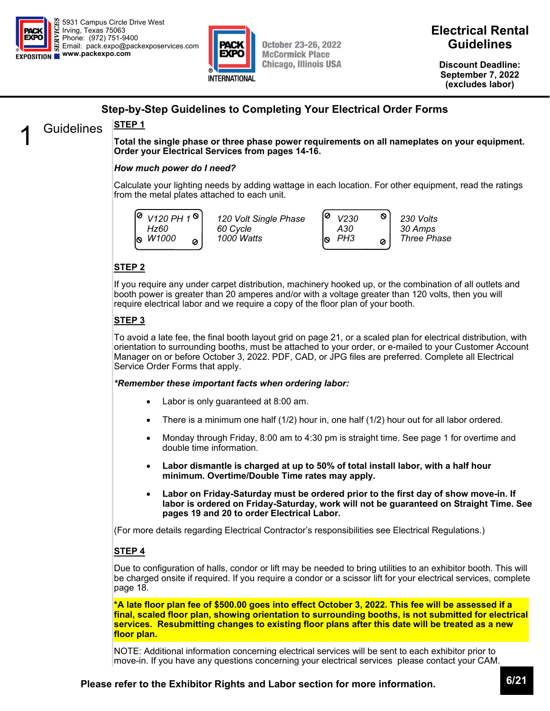



**Discount Deadline: September 7, 2022 (excludes labor)** 

### **Step-by-Step Guidelines to Completing Your Electrical Order Forms**

### Guidelines **STEP 1**

**Total the single phase or three phase power requirements on all nameplates on your equipment. Order your Electrical Services from pages 14-16.** 

#### *How much power do I need?*

Calculate your lighting needs by adding wattage in each location. For other equipment, read the ratings from the metal plates attached to each unit.

*V120 PH 1 Hz60 W1000*  Ø

*120 Volt Single Phase 60 Cycle 1000 Watts* 



*Three Phase* 

### **STEP 2**

If you require any under carpet distribution, machinery hooked up, or the combination of all outlets and booth power is greater than 20 amperes and/or with a voltage greater than 120 volts, then you will require electrical labor and we require a copy of the floor plan of your booth.

#### **STEP 3**

To avoid a late fee, the final booth layout grid on page 21, or a scaled plan for electrical distribution, with orientation to surrounding booths, must be attached to your order, or e-mailed to your Customer Account Manager on or before October 3, 2022. PDF, CAD, or JPG files are preferred. Complete all Electrical Service Order Forms that apply.

#### *\*Remember these important facts when ordering labor:*

- Labor is only guaranteed at 8:00 am.
- There is a minimum one half (1/2) hour in, one half (1/2) hour out for all labor ordered.
- Monday through Friday, 8:00 am to 4:30 pm is straight time. See page 1 for overtime and double time information.
- **Labor dismantle is charged at up to 50% of total install labor, with a half hour minimum. Overtime/Double Time rates may apply.**
- **Labor on Friday-Saturday must be ordered prior to the first day of show move-in. If labor is ordered on Friday-Saturday, work will not be guaranteed on Straight Time. See pages 19 and 20 to order Electrical Labor.**

(For more details regarding Electrical Contractor's responsibilities see Electrical Regulations.)

#### **STEP 4**

Due to configuration of halls, condor or lift may be needed to bring utilities to an exhibitor booth. This will be charged onsite if required. If you require a condor or a scissor lift for your electrical services, complete page 18.

**\*A late floor plan fee of \$500.00 goes into effect October 3, 2022. This fee will be assessed if a final, scaled floor plan, showing orientation to surrounding booths, is not submitted for electrical services. Resubmitting changes to existing floor plans after this date will be treated as a new floor plan.** 

NOTE: Additional information concerning electrical services will be sent to each exhibitor prior to move-in. If you have any questions concerning your electrical services please contact your CAM.

### **Please refer to the Exhibitor Rights and Labor section for more information. 6/21**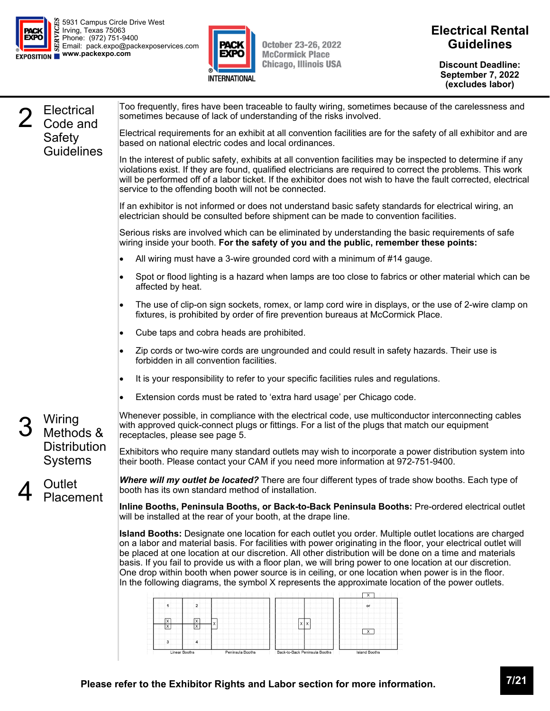



**Discount Deadline: September 7, 2022 (excludes labor)** 

|  | <b>Electrical</b><br>Code and  | Too frequently, fires have been traceable to faulty wiring, sometimes because of the carelessness and<br>sometimes because of lack of understanding of the risks involved.                                                                                                                                                                                                                                                                                                                                                                                                                                                                                    |  |  |  |  |
|--|--------------------------------|---------------------------------------------------------------------------------------------------------------------------------------------------------------------------------------------------------------------------------------------------------------------------------------------------------------------------------------------------------------------------------------------------------------------------------------------------------------------------------------------------------------------------------------------------------------------------------------------------------------------------------------------------------------|--|--|--|--|
|  | Safety<br><b>Guidelines</b>    | Electrical requirements for an exhibit at all convention facilities are for the safety of all exhibitor and are<br>based on national electric codes and local ordinances.                                                                                                                                                                                                                                                                                                                                                                                                                                                                                     |  |  |  |  |
|  |                                | In the interest of public safety, exhibits at all convention facilities may be inspected to determine if any<br>violations exist. If they are found, qualified electricians are required to correct the problems. This work<br>will be performed off of a labor ticket. If the exhibitor does not wish to have the fault corrected, electrical<br>service to the offending booth will not be connected.                                                                                                                                                                                                                                                       |  |  |  |  |
|  |                                | If an exhibitor is not informed or does not understand basic safety standards for electrical wiring, an<br>electrician should be consulted before shipment can be made to convention facilities.                                                                                                                                                                                                                                                                                                                                                                                                                                                              |  |  |  |  |
|  |                                | Serious risks are involved which can be eliminated by understanding the basic requirements of safe<br>wiring inside your booth. For the safety of you and the public, remember these points:                                                                                                                                                                                                                                                                                                                                                                                                                                                                  |  |  |  |  |
|  |                                | All wiring must have a 3-wire grounded cord with a minimum of #14 gauge.<br>٠                                                                                                                                                                                                                                                                                                                                                                                                                                                                                                                                                                                 |  |  |  |  |
|  |                                | Spot or flood lighting is a hazard when lamps are too close to fabrics or other material which can be<br>$\bullet$<br>affected by heat.                                                                                                                                                                                                                                                                                                                                                                                                                                                                                                                       |  |  |  |  |
|  |                                | The use of clip-on sign sockets, romex, or lamp cord wire in displays, or the use of 2-wire clamp on<br>fixtures, is prohibited by order of fire prevention bureaus at McCormick Place.                                                                                                                                                                                                                                                                                                                                                                                                                                                                       |  |  |  |  |
|  |                                | Cube taps and cobra heads are prohibited.<br>٠                                                                                                                                                                                                                                                                                                                                                                                                                                                                                                                                                                                                                |  |  |  |  |
|  |                                | Zip cords or two-wire cords are ungrounded and could result in safety hazards. Their use is<br>٠<br>forbidden in all convention facilities.                                                                                                                                                                                                                                                                                                                                                                                                                                                                                                                   |  |  |  |  |
|  |                                | It is your responsibility to refer to your specific facilities rules and regulations.<br>٠                                                                                                                                                                                                                                                                                                                                                                                                                                                                                                                                                                    |  |  |  |  |
|  |                                | Extension cords must be rated to 'extra hard usage' per Chicago code.<br>٠                                                                                                                                                                                                                                                                                                                                                                                                                                                                                                                                                                                    |  |  |  |  |
|  | Wiring<br>Methods &            | Whenever possible, in compliance with the electrical code, use multiconductor interconnecting cables<br>with approved quick-connect plugs or fittings. For a list of the plugs that match our equipment<br>receptacles, please see page 5.                                                                                                                                                                                                                                                                                                                                                                                                                    |  |  |  |  |
|  | <b>Distribution</b><br>Systems | Exhibitors who require many standard outlets may wish to incorporate a power distribution system into<br>their booth. Please contact your CAM if you need more information at 972-751-9400.                                                                                                                                                                                                                                                                                                                                                                                                                                                                   |  |  |  |  |
|  | Outlet<br>Placement            | Where will my outlet be located? There are four different types of trade show booths. Each type of<br>booth has its own standard method of installation.                                                                                                                                                                                                                                                                                                                                                                                                                                                                                                      |  |  |  |  |
|  |                                | Inline Booths, Peninsula Booths, or Back-to-Back Peninsula Booths: Pre-ordered electrical outlet<br>will be installed at the rear of your booth, at the drape line.                                                                                                                                                                                                                                                                                                                                                                                                                                                                                           |  |  |  |  |
|  |                                | Island Booths: Designate one location for each outlet you order. Multiple outlet locations are charged<br>on a labor and material basis. For facilities with power originating in the floor, your electrical outlet will<br>be placed at one location at our discretion. All other distribution will be done on a time and materials<br>basis. If you fail to provide us with a floor plan, we will bring power to one location at our discretion.<br>One drop within booth when power source is in ceiling, or one location when power is in the floor.<br>In the following diagrams, the symbol X represents the approximate location of the power outlets. |  |  |  |  |
|  |                                | $\overline{x}$<br>$\mathbf 2$<br>or<br>1                                                                                                                                                                                                                                                                                                                                                                                                                                                                                                                                                                                                                      |  |  |  |  |
|  |                                |                                                                                                                                                                                                                                                                                                                                                                                                                                                                                                                                                                                                                                                               |  |  |  |  |
|  |                                | $\frac{x}{x}$<br>$\frac{x}{x}$<br>∣x<br>$\boxed{\phantom{1}}$ $\phantom{1}$                                                                                                                                                                                                                                                                                                                                                                                                                                                                                                                                                                                   |  |  |  |  |
|  |                                | $\pmb{4}$<br>3<br>Linear Booths<br>Peninsula Booths<br>Back-to-Back Peninsula Booths<br><b>Island Booths</b>                                                                                                                                                                                                                                                                                                                                                                                                                                                                                                                                                  |  |  |  |  |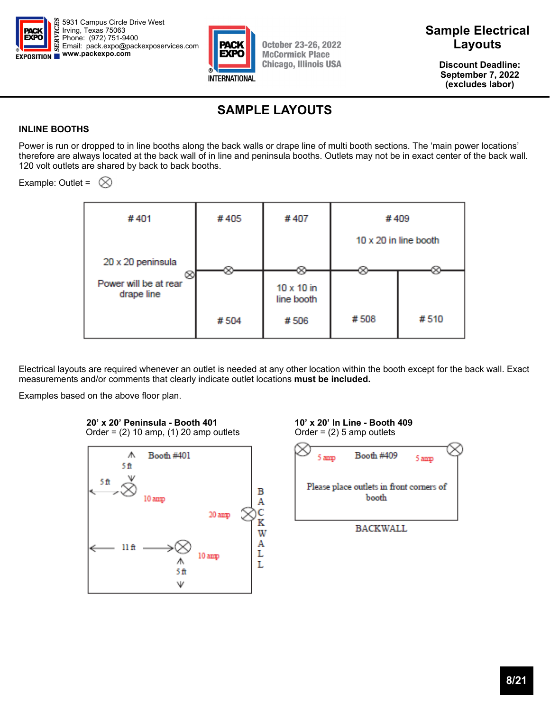



**Discount Deadline: September 7, 2022 (excludes labor)** 

## **SAMPLE LAYOUTS**

#### **INLINE BOOTHS**

Power is run or dropped to in line booths along the back walls or drape line of multi booth sections. The 'main power locations' therefore are always located at the back wall of in line and peninsula booths. Outlets may not be in exact center of the back wall. 120 volt outlets are shared by back to back booths.

Example: Outlet =  $\otimes$ 



Electrical layouts are required whenever an outlet is needed at any other location within the booth except for the back wall. Exact measurements and/or comments that clearly indicate outlet locations **must be included.**

Examples based on the above floor plan.



**20' x 20' Peninsula - Booth 401 10' x 20' In Line - Booth 409** Order = (2) 10 amp, (1) 20 amp outlets Order = (2) 5 amp outlets Order =  $(2)$  10 amp,  $(1)$  20 amp outlets

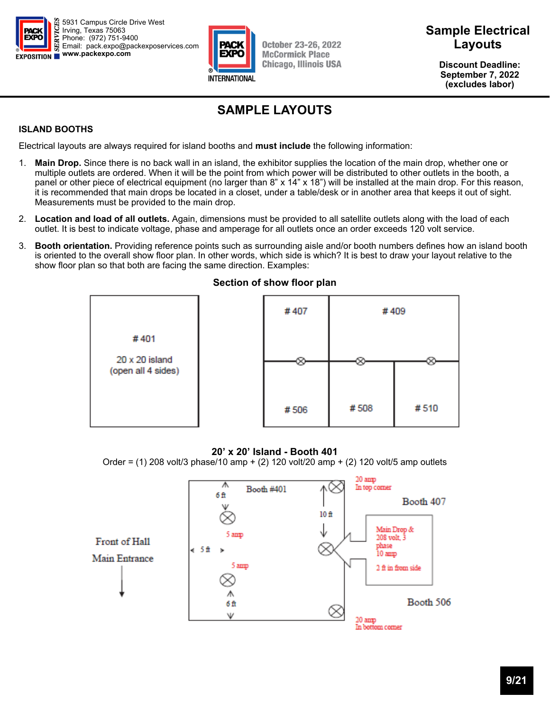



### **Sample Electrical Layouts**

**Discount Deadline: September 7, 2022 (excludes labor)** 

# **SAMPLE LAYOUTS**

#### **ISLAND BOOTHS**

Electrical layouts are always required for island booths and **must include** the following information:

- 1. **Main Drop.** Since there is no back wall in an island, the exhibitor supplies the location of the main drop, whether one or multiple outlets are ordered. When it will be the point from which power will be distributed to other outlets in the booth, a panel or other piece of electrical equipment (no larger than 8" x 14" x 18") will be installed at the main drop. For this reason, it is recommended that main drops be located in a closet, under a table/desk or in another area that keeps it out of sight. Measurements must be provided to the main drop.
- 2. **Location and load of all outlets.** Again, dimensions must be provided to all satellite outlets along with the load of each outlet. It is best to indicate voltage, phase and amperage for all outlets once an order exceeds 120 volt service.
- 3. **Booth orientation.** Providing reference points such as surrounding aisle and/or booth numbers defines how an island booth is oriented to the overall show floor plan. In other words, which side is which? It is best to draw your layout relative to the show floor plan so that both are facing the same direction. Examples:



### **Section of show floor plan**

#### **20' x 20' Island - Booth 401**

Order =  $(1)$  208 volt/3 phase/10 amp +  $(2)$  120 volt/20 amp +  $(2)$  120 volt/5 amp outlets

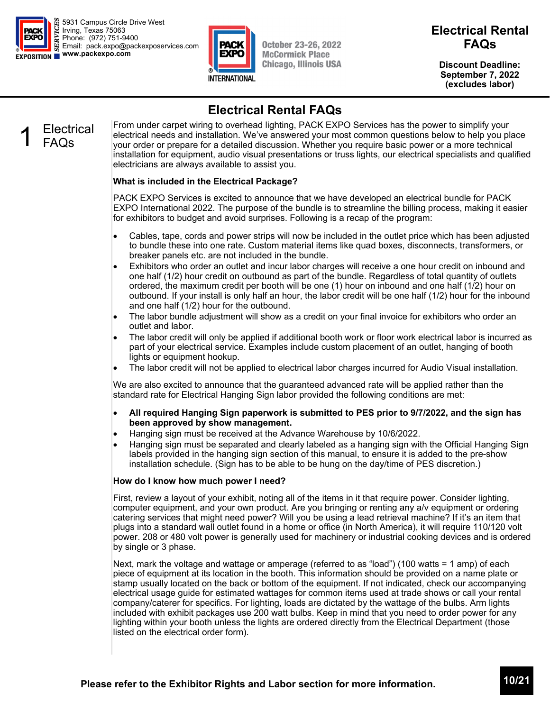



**October 23-26, 2022 McCormick Place Chicago, Illinois USA** 

### **Electrical Rental FAQs**

**Discount Deadline: September 7, 2022 (excludes labor)** 

## **Electrical Rental FAQs**

### **Electrical** FAQs

From under carpet wiring to overhead lighting, PACK EXPO Services has the power to simplify your electrical needs and installation. We've answered your most common questions below to help you place your order or prepare for a detailed discussion. Whether you require basic power or a more technical installation for equipment, audio visual presentations or truss lights, our electrical specialists and qualified electricians are always available to assist you.

### **What is included in the Electrical Package?**

PACK EXPO Services is excited to announce that we have developed an electrical bundle for PACK EXPO International 2022. The purpose of the bundle is to streamline the billing process, making it easier for exhibitors to budget and avoid surprises. Following is a recap of the program:

- Cables, tape, cords and power strips will now be included in the outlet price which has been adjusted to bundle these into one rate. Custom material items like quad boxes, disconnects, transformers, or breaker panels etc. are not included in the bundle.
- Exhibitors who order an outlet and incur labor charges will receive a one hour credit on inbound and one half (1/2) hour credit on outbound as part of the bundle. Regardless of total quantity of outlets ordered, the maximum credit per booth will be one (1) hour on inbound and one half (1/2) hour on outbound. If your install is only half an hour, the labor credit will be one half (1/2) hour for the inbound and one half (1/2) hour for the outbound.
- The labor bundle adjustment will show as a credit on your final invoice for exhibitors who order an outlet and labor.
- The labor credit will only be applied if additional booth work or floor work electrical labor is incurred as part of your electrical service. Examples include custom placement of an outlet, hanging of booth lights or equipment hookup.
- The labor credit will not be applied to electrical labor charges incurred for Audio Visual installation.

We are also excited to announce that the guaranteed advanced rate will be applied rather than the standard rate for Electrical Hanging Sign labor provided the following conditions are met:

- **All required Hanging Sign paperwork is submitted to PES prior to 9/7/2022, and the sign has been approved by show management.**
- Hanging sign must be received at the Advance Warehouse by 10/6/2022.
- Hanging sign must be separated and clearly labeled as a hanging sign with the Official Hanging Sign labels provided in the hanging sign section of this manual, to ensure it is added to the pre-show installation schedule. (Sign has to be able to be hung on the day/time of PES discretion.)

#### **How do I know how much power I need?**

First, review a layout of your exhibit, noting all of the items in it that require power. Consider lighting, computer equipment, and your own product. Are you bringing or renting any a/v equipment or ordering catering services that might need power? Will you be using a lead retrieval machine? If it's an item that plugs into a standard wall outlet found in a home or office (in North America), it will require 110/120 volt power. 208 or 480 volt power is generally used for machinery or industrial cooking devices and is ordered by single or 3 phase.

Next, mark the voltage and wattage or amperage (referred to as "load") (100 watts = 1 amp) of each piece of equipment at its location in the booth. This information should be provided on a name plate or stamp usually located on the back or bottom of the equipment. If not indicated, check our accompanying electrical usage guide for estimated wattages for common items used at trade shows or call your rental company/caterer for specifics. For lighting, loads are dictated by the wattage of the bulbs. Arm lights included with exhibit packages use 200 watt bulbs. Keep in mind that you need to order power for any lighting within your booth unless the lights are ordered directly from the Electrical Department (those listed on the electrical order form).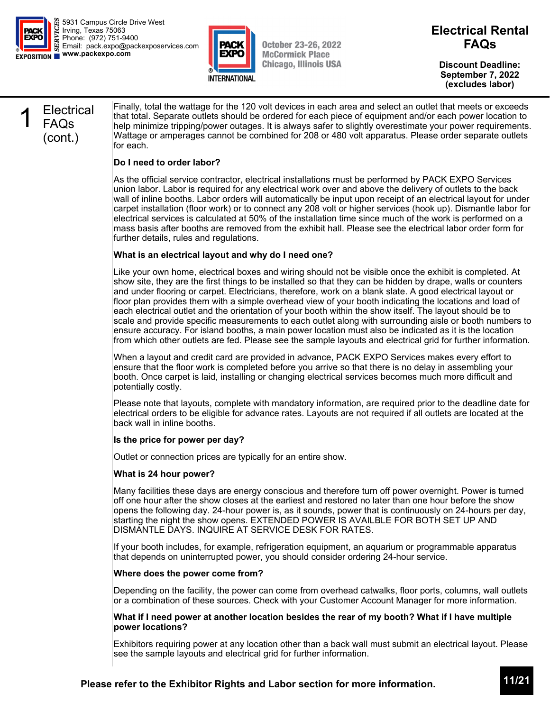



**October 23-26, 2022 McCormick Place Chicago, Illinois USA**  **Electrical Rental FAQs** 

**Discount Deadline: September 7, 2022 (excludes labor)** 

### **Electrical** FAQs (cont.)

Finally, total the wattage for the 120 volt devices in each area and select an outlet that meets or exceeds that total. Separate outlets should be ordered for each piece of equipment and/or each power location to help minimize tripping/power outages. It is always safer to slightly overestimate your power requirements. Wattage or amperages cannot be combined for 208 or 480 volt apparatus. Please order separate outlets for each.

#### **Do I need to order labor?**

As the official service contractor, electrical installations must be performed by PACK EXPO Services union labor. Labor is required for any electrical work over and above the delivery of outlets to the back wall of inline booths. Labor orders will automatically be input upon receipt of an electrical layout for under carpet installation (floor work) or to connect any 208 volt or higher services (hook up). Dismantle labor for electrical services is calculated at 50% of the installation time since much of the work is performed on a mass basis after booths are removed from the exhibit hall. Please see the electrical labor order form for further details, rules and regulations.

#### **What is an electrical layout and why do I need one?**

Like your own home, electrical boxes and wiring should not be visible once the exhibit is completed. At show site, they are the first things to be installed so that they can be hidden by drape, walls or counters and under flooring or carpet. Electricians, therefore, work on a blank slate. A good electrical layout or floor plan provides them with a simple overhead view of your booth indicating the locations and load of each electrical outlet and the orientation of your booth within the show itself. The layout should be to scale and provide specific measurements to each outlet along with surrounding aisle or booth numbers to ensure accuracy. For island booths, a main power location must also be indicated as it is the location from which other outlets are fed. Please see the sample layouts and electrical grid for further information.

When a layout and credit card are provided in advance, PACK EXPO Services makes every effort to ensure that the floor work is completed before you arrive so that there is no delay in assembling your booth. Once carpet is laid, installing or changing electrical services becomes much more difficult and potentially costly.

Please note that layouts, complete with mandatory information, are required prior to the deadline date for electrical orders to be eligible for advance rates. Layouts are not required if all outlets are located at the back wall in inline booths.

#### **Is the price for power per day?**

Outlet or connection prices are typically for an entire show.

#### **What is 24 hour power?**

Many facilities these days are energy conscious and therefore turn off power overnight. Power is turned off one hour after the show closes at the earliest and restored no later than one hour before the show opens the following day. 24-hour power is, as it sounds, power that is continuously on 24-hours per day, starting the night the show opens. EXTENDED POWER IS AVAILBLE FOR BOTH SET UP AND DISMANTLE DAYS. INQUIRE AT SERVICE DESK FOR RATES.

If your booth includes, for example, refrigeration equipment, an aquarium or programmable apparatus that depends on uninterrupted power, you should consider ordering 24-hour service.

#### **Where does the power come from?**

Depending on the facility, the power can come from overhead catwalks, floor ports, columns, wall outlets or a combination of these sources. Check with your Customer Account Manager for more information.

#### **What if I need power at another location besides the rear of my booth? What if I have multiple power locations?**

Exhibitors requiring power at any location other than a back wall must submit an electrical layout. Please see the sample layouts and electrical grid for further information.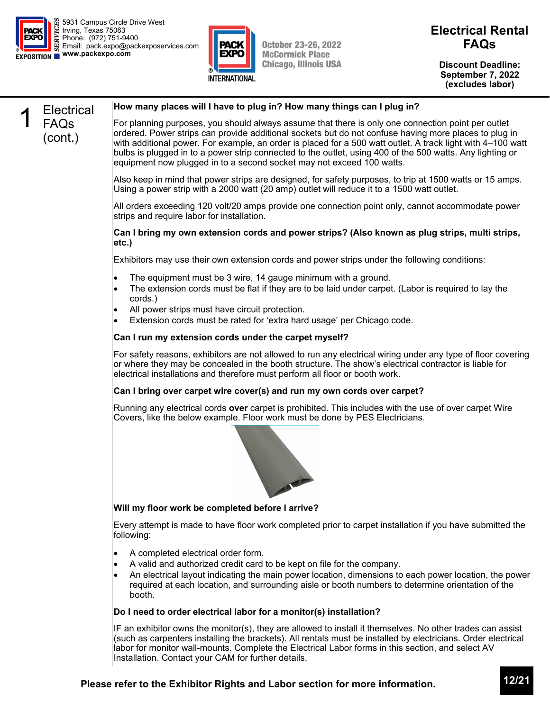



**Discount Deadline: September 7, 2022 (excludes labor)** 

### **Electrical** FAQs (cont.) **How many places will I have to plug in? How many things can I plug in?**  For planning purposes, you should always assume that there is only one connection point per outlet ordered. Power strips can provide additional sockets but do not confuse having more places to plug in with additional power. For example, an order is placed for a 500 watt outlet. A track light with 4–100 watt bulbs is plugged in to a power strip connected to the outlet, using 400 of the 500 watts. Any lighting or equipment now plugged in to a second socket may not exceed 100 watts. Also keep in mind that power strips are designed, for safety purposes, to trip at 1500 watts or 15 amps. Using a power strip with a 2000 watt (20 amp) outlet will reduce it to a 1500 watt outlet. All orders exceeding 120 volt/20 amps provide one connection point only, cannot accommodate power strips and require labor for installation. **Can I bring my own extension cords and power strips? (Also known as plug strips, multi strips, etc.)**  Exhibitors may use their own extension cords and power strips under the following conditions: The equipment must be 3 wire, 14 gauge minimum with a ground. The extension cords must be flat if they are to be laid under carpet. (Labor is required to lay the cords.) All power strips must have circuit protection. Extension cords must be rated for 'extra hard usage' per Chicago code. **Can I run my extension cords under the carpet myself?**  For safety reasons, exhibitors are not allowed to run any electrical wiring under any type of floor covering or where they may be concealed in the booth structure. The show's electrical contractor is liable for electrical installations and therefore must perform all floor or booth work. **Can I bring over carpet wire cover(s) and run my own cords over carpet?**  Running any electrical cords **over** carpet is prohibited. This includes with the use of over carpet Wire Covers, like the below example. Floor work must be done by PES Electricians. **Will my floor work be completed before I arrive?**  Every attempt is made to have floor work completed prior to carpet installation if you have submitted the following: • A completed electrical order form. A valid and authorized credit card to be kept on file for the company. An electrical layout indicating the main power location, dimensions to each power location, the power required at each location, and surrounding aisle or booth numbers to determine orientation of the booth. **Do I need to order electrical labor for a monitor(s) installation?**  IF an exhibitor owns the monitor(s), they are allowed to install it themselves. No other trades can assist (such as carpenters installing the brackets). All rentals must be installed by electricians. Order electrical labor for monitor wall-mounts. Complete the Electrical Labor forms in this section, and select AV Installation. Contact your CAM for further details.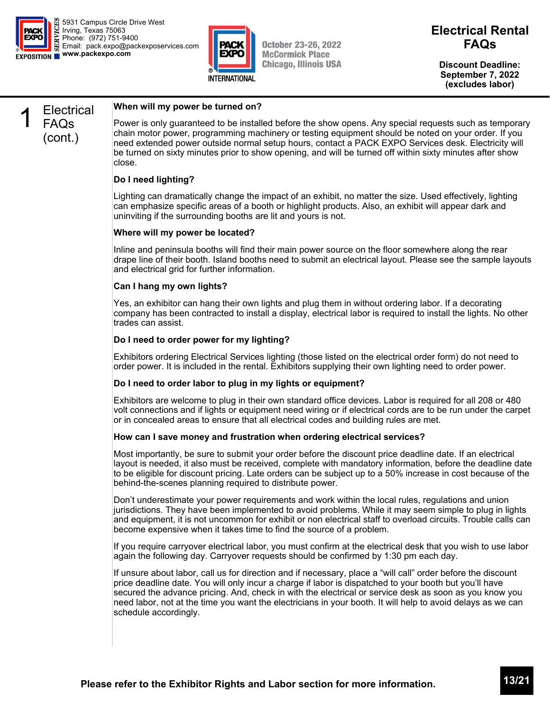



**Discount Deadline: September 7, 2022 (excludes labor)** 

### **Electrical** FAQs (cont.)

#### **When will my power be turned on?**

Power is only guaranteed to be installed before the show opens. Any special requests such as temporary chain motor power, programming machinery or testing equipment should be noted on your order. If you need extended power outside normal setup hours, contact a PACK EXPO Services desk. Electricity will be turned on sixty minutes prior to show opening, and will be turned off within sixty minutes after show close.

#### **Do I need lighting?**

Lighting can dramatically change the impact of an exhibit, no matter the size. Used effectively, lighting can emphasize specific areas of a booth or highlight products. Also, an exhibit will appear dark and uninviting if the surrounding booths are lit and yours is not.

#### **Where will my power be located?**

Inline and peninsula booths will find their main power source on the floor somewhere along the rear drape line of their booth. Island booths need to submit an electrical layout. Please see the sample layouts and electrical grid for further information.

#### **Can I hang my own lights?**

Yes, an exhibitor can hang their own lights and plug them in without ordering labor. If a decorating company has been contracted to install a display, electrical labor is required to install the lights. No other trades can assist.

#### **Do I need to order power for my lighting?**

Exhibitors ordering Electrical Services lighting (those listed on the electrical order form) do not need to order power. It is included in the rental. Exhibitors supplying their own lighting need to order power.

#### **Do I need to order labor to plug in my lights or equipment?**

Exhibitors are welcome to plug in their own standard office devices. Labor is required for all 208 or 480 volt connections and if lights or equipment need wiring or if electrical cords are to be run under the carpet or in concealed areas to ensure that all electrical codes and building rules are met.

#### **How can I save money and frustration when ordering electrical services?**

Most importantly, be sure to submit your order before the discount price deadline date. If an electrical layout is needed, it also must be received, complete with mandatory information, before the deadline date to be eligible for discount pricing. Late orders can be subject up to a 50% increase in cost because of the behind-the-scenes planning required to distribute power.

Don't underestimate your power requirements and work within the local rules, regulations and union jurisdictions. They have been implemented to avoid problems. While it may seem simple to plug in lights and equipment, it is not uncommon for exhibit or non electrical staff to overload circuits. Trouble calls can become expensive when it takes time to find the source of a problem.

If you require carryover electrical labor, you must confirm at the electrical desk that you wish to use labor again the following day. Carryover requests should be confirmed by 1:30 pm each day.

If unsure about labor, call us for direction and if necessary, place a "will call" order before the discount price deadline date. You will only incur a charge if labor is dispatched to your booth but you'll have secured the advance pricing. And, check in with the electrical or service desk as soon as you know you need labor, not at the time you want the electricians in your booth. It will help to avoid delays as we can schedule accordingly.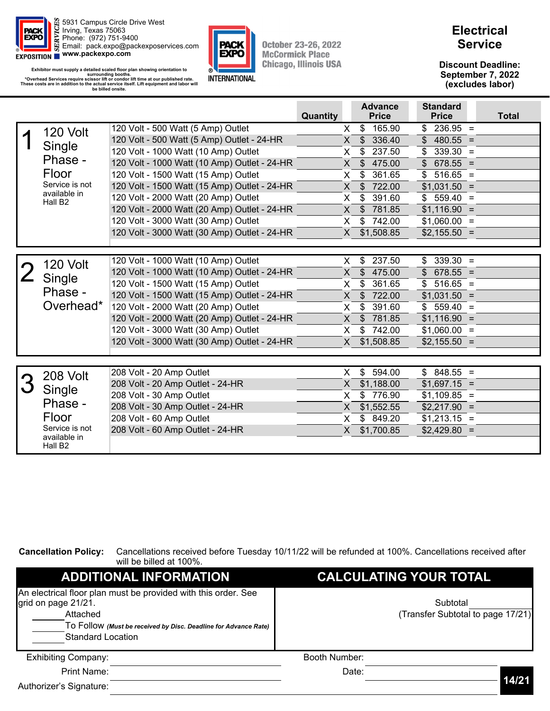

Exhibitor must supply a detailed scaled floor plan showing orientation to<br>\*Overhead Services require scissor lift or condor lift time at our published rate.<br>\*Overhead Services require scissor lift or condor lift time at ou



**October 23-26, 2022 McCormick Place Chicago, Illinois USA** 

### **Electrical Service**

**Discount Deadline: September 7, 2022 (excludes labor)** 

|                                     |                                              | Quantity     | <b>Advance</b><br><b>Price</b> | <b>Standard</b><br><b>Price</b> | <b>Total</b> |
|-------------------------------------|----------------------------------------------|--------------|--------------------------------|---------------------------------|--------------|
| 120 Volt                            | 120 Volt - 500 Watt (5 Amp) Outlet           | X            | 165.90<br>\$                   | $236.95 =$<br>\$                |              |
|                                     | 120 Volt - 500 Watt (5 Amp) Outlet - 24-HR   | $\times$     | $\mathfrak{S}$<br>336.40       | $\mathsf{\$}$<br>$480.55 =$     |              |
| Single                              | 120 Volt - 1000 Watt (10 Amp) Outlet         | X.           | \$<br>237.50                   | $339.30 =$<br>\$                |              |
| Phase -                             | 120 Volt - 1000 Watt (10 Amp) Outlet - 24-HR | $\mathsf{X}$ | 475.00<br>$\frac{3}{2}$        | $\frac{1}{2}$<br>$678.55 =$     |              |
| Floor                               | 120 Volt - 1500 Watt (15 Amp) Outlet         | X            | \$<br>361.65                   | $516.65 =$<br>\$                |              |
| Service is not                      | 120 Volt - 1500 Watt (15 Amp) Outlet - 24-HR | X.           | 722.00<br>\$                   | $$1,031.50 =$                   |              |
| available in<br>Hall B <sub>2</sub> | 120 Volt - 2000 Watt (20 Amp) Outlet         | X            | \$<br>391.60                   | $559.40 =$<br>\$                |              |
|                                     | 120 Volt - 2000 Watt (20 Amp) Outlet - 24-HR | X            | 781.85<br>$\mathfrak{S}$       | $$1,116.90 =$                   |              |
|                                     | 120 Volt - 3000 Watt (30 Amp) Outlet         | X            | 742.00<br>\$                   | $$1,060.00 =$                   |              |
|                                     | 120 Volt - 3000 Watt (30 Amp) Outlet - 24-HR | $\mathsf{X}$ | \$1,508.85                     | $$2,155.50 =$                   |              |
|                                     |                                              |              |                                |                                 |              |
|                                     | 120 Volt - 1000 Watt (10 Amp) Outlet         | X            | 237.50<br>\$                   | $339.30 =$<br>\$                |              |
| 120 Volt                            | 120 Volt - 1000 Watt (10 Amp) Outlet - 24-HR | X            | $\mathfrak{S}$<br>475.00       | $\frac{1}{2}$<br>$678.55 =$     |              |
| Single                              | 120 Volt - 1500 Watt (15 Amp) Outlet         | X            | \$<br>361.65                   | $516.65 =$<br>$\mathbb{S}^-$    |              |
| Phase -                             | 120 Volt - 1500 Watt (15 Amp) Outlet - 24-HR | X            | 722.00<br>$\frac{1}{2}$        | $$1,031.50 =$                   |              |
| Overhead*                           | 120 Volt - 2000 Watt (20 Amp) Outlet         | X            | \$<br>391.60                   | $559.40 =$<br>\$                |              |
|                                     | 120 Volt - 2000 Watt (20 Amp) Outlet - 24-HR | X.           | \$<br>781.85                   | $$1,116.90 =$                   |              |
|                                     | 120 Volt - 3000 Watt (30 Amp) Outlet         | X.           | 742.00<br>\$                   | $$1,060.00 =$                   |              |
|                                     | 120 Volt - 3000 Watt (30 Amp) Outlet - 24-HR | $\times$     | \$1,508.85                     | $$2,155.50 =$                   |              |
|                                     |                                              |              |                                |                                 |              |
|                                     |                                              |              |                                |                                 |              |
| 208 Volt                            | 208 Volt - 20 Amp Outlet                     | X.           | 594.00<br>\$                   | $848.55 =$<br>\$                |              |
| Single                              | 208 Volt - 20 Amp Outlet - 24-HR             | X            | \$1,188.00                     | $$1,697.15 =$                   |              |
| Phase -                             | 208 Volt - 30 Amp Outlet                     | X            | \$776.90                       | $$1,109.85 =$                   |              |
|                                     | 208 Volt - 30 Amp Outlet - 24-HR             | $\times$     | \$1,552.55                     | $$2,217.90 =$                   |              |
| Floor                               | 208 Volt - 60 Amp Outlet                     | X            | \$849.20                       | $$1,213.15 =$                   |              |
| Service is not<br>available in      | 208 Volt - 60 Amp Outlet - 24-HR             | $\times$     | \$1,700.85                     | $$2,429.80 =$                   |              |
| Hall B <sub>2</sub>                 |                                              |              |                                |                                 |              |

**Cancellation Policy:** Cancellations received before Tuesday 10/11/22 will be refunded at 100%. Cancellations received after will be billed at 100%.

| <b>ADDITIONAL INFORMATION</b>                                                                                                                                                                    | <b>CALCULATING YOUR TOTAL</b>                 |       |
|--------------------------------------------------------------------------------------------------------------------------------------------------------------------------------------------------|-----------------------------------------------|-------|
| An electrical floor plan must be provided with this order. See<br>grid on page 21/21.<br>Attached<br>To Follow (Must be received by Disc. Deadline for Advance Rate)<br><b>Standard Location</b> | Subtotal<br>(Transfer Subtotal to page 17/21) |       |
| <b>Exhibiting Company:</b>                                                                                                                                                                       | Booth Number:                                 |       |
| Print Name:                                                                                                                                                                                      | Date:                                         |       |
| Authorizer's Signature:                                                                                                                                                                          |                                               | 14/21 |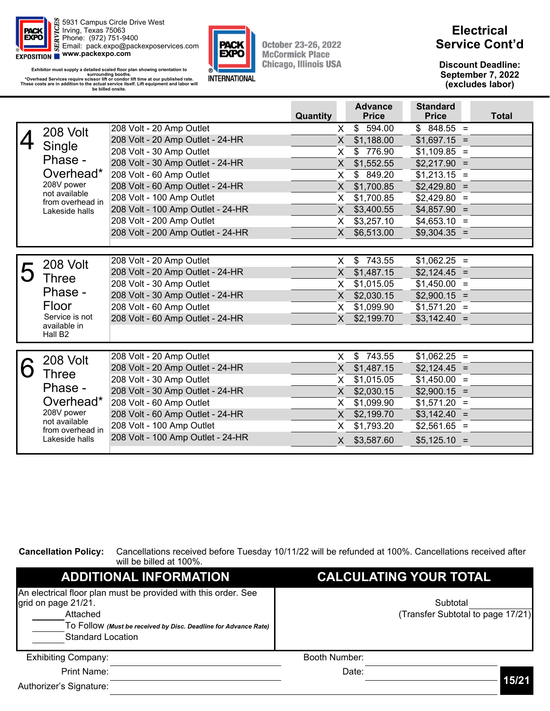

Exhibitor must supply a detailed scaled floor plan showing orientation to<br>surrounding booths.<br>\*Overhead Services require scissor lift or condor lift time at our published rate.<br>These costs are in addition to the actual ser **be billed onsite.** 



**October 23-26, 2022 McCormick Place Chicago, Illinois USA** 

### **Electrical Service Cont'd**

**Discount Deadline: September 7, 2022 (excludes labor)** 

|   |                                   |                                   | Quantity |                | <b>Advance</b><br><b>Price</b> | <b>Standard</b><br><b>Price</b> | <b>Total</b> |
|---|-----------------------------------|-----------------------------------|----------|----------------|--------------------------------|---------------------------------|--------------|
|   | 208 Volt                          | 208 Volt - 20 Amp Outlet          |          | $\mathsf{X}^-$ | \$594.00                       | $$848.55 =$                     |              |
|   |                                   | 208 Volt - 20 Amp Outlet - 24-HR  |          | X.             | \$1,188.00                     | $$1,697.15 =$                   |              |
|   | Single                            | 208 Volt - 30 Amp Outlet          |          | X.             | \$776.90                       | $$1,109.85 =$                   |              |
|   | Phase -                           | 208 Volt - 30 Amp Outlet - 24-HR  |          | $\mathsf{X}$   | \$1,552.55                     | $$2,217.90 =$                   |              |
|   | Overhead*                         | 208 Volt - 60 Amp Outlet          |          | X              | \$849.20                       | $$1,213.15 =$                   |              |
|   | 208V power                        | 208 Volt - 60 Amp Outlet - 24-HR  |          | X.             | \$1,700.85                     | $$2,429.80 =$                   |              |
|   | not available<br>from overhead in | 208 Volt - 100 Amp Outlet         |          | X.             | \$1,700.85                     | $$2,429.80 =$                   |              |
|   | Lakeside halls                    | 208 Volt - 100 Amp Outlet - 24-HR |          | X.             | \$3,400.55                     | $$4,857.90 =$                   |              |
|   |                                   | 208 Volt - 200 Amp Outlet         |          | X.             | \$3,257.10                     | $$4,653.10 =$                   |              |
|   |                                   | 208 Volt - 200 Amp Outlet - 24-HR |          | X              | \$6,513.00                     | $$9,304.35 =$                   |              |
|   |                                   |                                   |          |                |                                |                                 |              |
|   |                                   | 208 Volt - 20 Amp Outlet          |          | $\mathsf{X}$   | \$743.55                       | $$1,062.25 =$                   |              |
|   | 208 Volt                          | 208 Volt - 20 Amp Outlet - 24-HR  |          | X.             | \$1,487.15                     | $$2,124.45 =$                   |              |
|   | <b>Three</b>                      | 208 Volt - 30 Amp Outlet          |          | X.             | \$1,015.05                     | $$1,450.00 =$                   |              |
|   | Phase -                           | 208 Volt - 30 Amp Outlet - 24-HR  |          | X              | \$2,030.15                     | $$2,900.15 =$                   |              |
|   | Floor                             | 208 Volt - 60 Amp Outlet          |          | X.             | \$1,099.90                     | $$1,571.20 =$                   |              |
|   | Service is not                    | 208 Volt - 60 Amp Outlet - 24-HR  |          | X              | \$2,199.70                     | $$3,142.40 =$                   |              |
|   | available in                      |                                   |          |                |                                |                                 |              |
|   | Hall B <sub>2</sub>               |                                   |          |                |                                |                                 |              |
|   |                                   | 208 Volt - 20 Amp Outlet          |          | $\mathsf{X}$   | \$743.55                       | $$1,062.25 =$                   |              |
|   | 208 Volt                          | 208 Volt - 20 Amp Outlet - 24-HR  |          | $\mathsf{X}^-$ | \$1,487.15                     | $$2,124.45 =$                   |              |
| n | <b>Three</b>                      | 208 Volt - 30 Amp Outlet          |          | X.             | \$1,015.05                     | $$1,450.00 =$                   |              |
|   | Phase -                           | 208 Volt - 30 Amp Outlet - 24-HR  |          | X.             | \$2,030.15                     | $$2,900.15 =$                   |              |
|   | Overhead*                         | 208 Volt - 60 Amp Outlet          |          | X.             | \$1,099.90                     | $$1,571.20 =$                   |              |
|   | 208V power                        | 208 Volt - 60 Amp Outlet - 24-HR  |          |                | X \$2,199.70                   | $$3,142.40 =$                   |              |
|   | not available                     | 208 Volt - 100 Amp Outlet         |          | X.             | \$1,793.20                     | $$2,561.65 =$                   |              |
|   | from overhead in                  | 208 Volt - 100 Amp Outlet - 24-HR |          |                |                                |                                 |              |
|   | Lakeside halls                    |                                   |          | X.             | \$3,587.60                     | $$5,125.10 =$                   |              |

**Cancellation Policy:** Cancellations received before Tuesday 10/11/22 will be refunded at 100%. Cancellations received after will be billed at 100%.

| <b>ADDITIONAL INFORMATION</b>                                                                                                                                                                    | <b>CALCULATING YOUR TOTAL</b>                 |       |
|--------------------------------------------------------------------------------------------------------------------------------------------------------------------------------------------------|-----------------------------------------------|-------|
| An electrical floor plan must be provided with this order. See<br>grid on page 21/21.<br>Attached<br>To Follow (Must be received by Disc. Deadline for Advance Rate)<br><b>Standard Location</b> | Subtotal<br>(Transfer Subtotal to page 17/21) |       |
| <b>Exhibiting Company:</b>                                                                                                                                                                       | Booth Number:                                 |       |
| Print Name:                                                                                                                                                                                      | Date:                                         |       |
| Authorizer's Signature:                                                                                                                                                                          |                                               | 15/21 |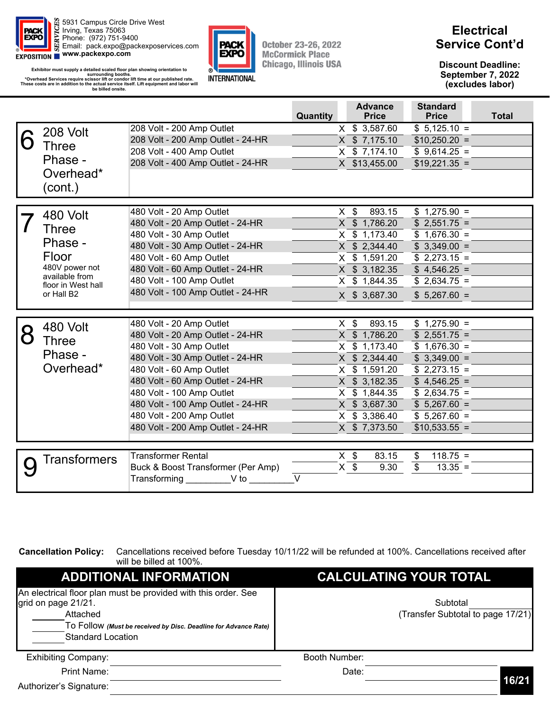

Exhibitor must supply a detailed scaled floor plan showing orientation to<br>surrounding booths.<br>\*Overhead Services require scissor lift or condor lift time at our published rate.<br>These costs are in addition to the actual ser **be billed onsite.** 



**October 23-26, 2022 McCormick Place Chicago, Illinois USA** 

### **Electrical Service Cont'd**

**Discount Deadline: September 7, 2022 (excludes labor)** 

|                                                                                                               |                                                                                                                                                                                                                                                                                                                                  | Quantity | <b>Advance</b><br><b>Price</b>                                                                                                                                            | <b>Standard</b><br><b>Price</b>                                                                                                                                         | <b>Total</b> |
|---------------------------------------------------------------------------------------------------------------|----------------------------------------------------------------------------------------------------------------------------------------------------------------------------------------------------------------------------------------------------------------------------------------------------------------------------------|----------|---------------------------------------------------------------------------------------------------------------------------------------------------------------------------|-------------------------------------------------------------------------------------------------------------------------------------------------------------------------|--------------|
| 208 Volt<br><b>Three</b><br>Phase -<br>Overhead*<br>(cont.)                                                   | 208 Volt - 200 Amp Outlet<br>208 Volt - 200 Amp Outlet - 24-HR<br>208 Volt - 400 Amp Outlet<br>208 Volt - 400 Amp Outlet - 24-HR                                                                                                                                                                                                 |          | X \$ 3,587.60<br>X \$ 7,175.10<br>X \$ 7,174.10<br>X \$13,455.00                                                                                                          | $$5,125.10 =$<br>$$10,250.20 =$<br>$$9,614.25 =$<br>$$19,221.35 =$                                                                                                      |              |
| 480 Volt<br>Three<br>Phase -<br>Floor<br>480V power not<br>available from<br>floor in West hall<br>or Hall B2 | 480 Volt - 20 Amp Outlet<br>480 Volt - 20 Amp Outlet - 24-HR<br>480 Volt - 30 Amp Outlet<br>480 Volt - 30 Amp Outlet - 24-HR<br>480 Volt - 60 Amp Outlet<br>480 Volt - 60 Amp Outlet - 24-HR<br>480 Volt - 100 Amp Outlet<br>480 Volt - 100 Amp Outlet - 24-HR                                                                   |          | $X$ \$<br>893.15<br>X \$ 1,786.20<br>X \$ 1,173.40<br>X \$ 2,344.40<br>X \$ 1,591.20<br>X \$ 3,182.35<br>X \$ 1,844.35<br>X \$ 3,687.30                                   | $$1,275.90 =$<br>$$2,551.75 =$<br>$$1,676.30 =$<br>$$3,349.00 =$<br>$$2,273.15 =$<br>$$4,546.25 =$<br>$$2,634.75 =$<br>$$5,267.60 =$                                    |              |
| 480 Volt<br>Three<br>Phase -<br>Overhead*                                                                     | 480 Volt - 20 Amp Outlet<br>480 Volt - 20 Amp Outlet - 24-HR<br>480 Volt - 30 Amp Outlet<br>480 Volt - 30 Amp Outlet - 24-HR<br>480 Volt - 60 Amp Outlet<br>480 Volt - 60 Amp Outlet - 24-HR<br>480 Volt - 100 Amp Outlet<br>480 Volt - 100 Amp Outlet - 24-HR<br>480 Volt - 200 Amp Outlet<br>480 Volt - 200 Amp Outlet - 24-HR |          | $X$ \$<br>893.15<br>X \$ 1,786.20<br>X \$ 1,173.40<br>X \$ 2,344.40<br>X \$ 1,591.20<br>X \$ 3,182.35<br>X \$ 1,844.35<br>X \$ 3,687.30<br>X \$ 3,386.40<br>X \$ 7,373.50 | $$1,275.90 =$<br>$$2,551.75 =$<br>$$1,676.30 =$<br>$$3,349.00 =$<br>$$2,273.15 =$<br>$$4,546.25 =$<br>$$2,634.75 =$<br>$$5,267.60 =$<br>$$5,267.60 =$<br>$$10,533.55 =$ |              |
| Transformers                                                                                                  | Transformer Rental<br>Buck & Boost Transformer (Per Amp)<br>Transforming V to                                                                                                                                                                                                                                                    | $\vee$   | $X$ \$<br>83.15<br>$X$ \$<br>9.30                                                                                                                                         | $118.75 =$<br>\$<br>$\overline{\mathbf{3}}$<br>$13.35 =$                                                                                                                |              |

**Cancellation Policy:** Cancellations received before Tuesday 10/11/22 will be refunded at 100%. Cancellations received after will be billed at 100%.

| <b>ADDITIONAL INFORMATION</b>                                                                                                                                                                    | <b>CALCULATING YOUR TOTAL</b>                 |       |
|--------------------------------------------------------------------------------------------------------------------------------------------------------------------------------------------------|-----------------------------------------------|-------|
| An electrical floor plan must be provided with this order. See<br>grid on page 21/21.<br>Attached<br>To Follow (Must be received by Disc. Deadline for Advance Rate)<br><b>Standard Location</b> | Subtotal<br>(Transfer Subtotal to page 17/21) |       |
| <b>Exhibiting Company:</b>                                                                                                                                                                       | Booth Number:                                 |       |
| Print Name:                                                                                                                                                                                      | Date:                                         |       |
| Authorizer's Signature:                                                                                                                                                                          |                                               | 16/21 |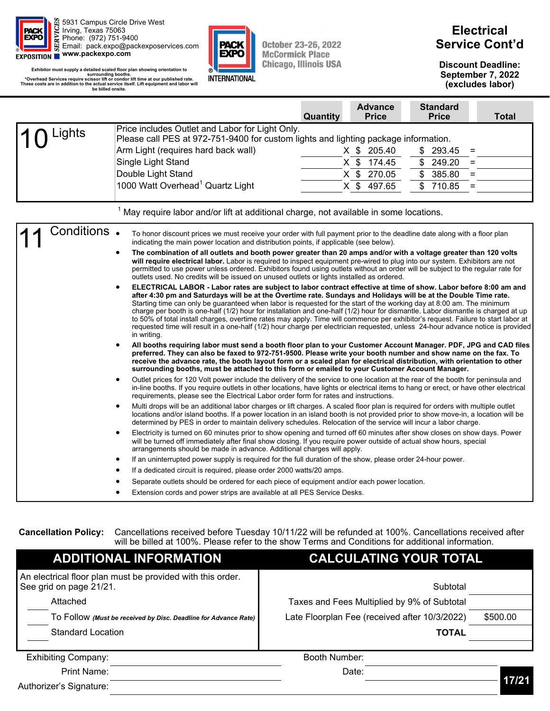



### **Electrical Service Cont'd**

**Discount Deadline: September 7, 2022 (excludes labor)** 

| Exhibitor must supply a detailed scaled floor plan showing orientation to<br>surrounding booths.<br>*Overhead Services require scissor lift or condor lift time at our published rate.<br>These costs are in addition to the actual service itself. Lift equipment and labor will<br>be billed onsite. | INTERNATIONAL                                                                                                                                                                                                                                                                                                                                                                                                                                                                                                                                                                                                                                                                                                                                                                                                                                                                                                                                                                                                                                                                                                                                                                                                                                                                                                                                                                                                                                                                                                                                                                                                                                                                                                                                                                                                                                                                                                                                                                                                                                                                                                                                                                                                                                                                                                                                                                                                                                                                                                                                                                                                                                                                                                                                                                                                                                                                                                                                                                                                                                                                                                                                                                                                                                                                                                                                                                                                                     |          |                                                                         |                                                                                          | September 7, 2022<br>(excludes labor) |
|--------------------------------------------------------------------------------------------------------------------------------------------------------------------------------------------------------------------------------------------------------------------------------------------------------|-----------------------------------------------------------------------------------------------------------------------------------------------------------------------------------------------------------------------------------------------------------------------------------------------------------------------------------------------------------------------------------------------------------------------------------------------------------------------------------------------------------------------------------------------------------------------------------------------------------------------------------------------------------------------------------------------------------------------------------------------------------------------------------------------------------------------------------------------------------------------------------------------------------------------------------------------------------------------------------------------------------------------------------------------------------------------------------------------------------------------------------------------------------------------------------------------------------------------------------------------------------------------------------------------------------------------------------------------------------------------------------------------------------------------------------------------------------------------------------------------------------------------------------------------------------------------------------------------------------------------------------------------------------------------------------------------------------------------------------------------------------------------------------------------------------------------------------------------------------------------------------------------------------------------------------------------------------------------------------------------------------------------------------------------------------------------------------------------------------------------------------------------------------------------------------------------------------------------------------------------------------------------------------------------------------------------------------------------------------------------------------------------------------------------------------------------------------------------------------------------------------------------------------------------------------------------------------------------------------------------------------------------------------------------------------------------------------------------------------------------------------------------------------------------------------------------------------------------------------------------------------------------------------------------------------------------------------------------------------------------------------------------------------------------------------------------------------------------------------------------------------------------------------------------------------------------------------------------------------------------------------------------------------------------------------------------------------------------------------------------------------------------------------------------------------|----------|-------------------------------------------------------------------------|------------------------------------------------------------------------------------------|---------------------------------------|
|                                                                                                                                                                                                                                                                                                        |                                                                                                                                                                                                                                                                                                                                                                                                                                                                                                                                                                                                                                                                                                                                                                                                                                                                                                                                                                                                                                                                                                                                                                                                                                                                                                                                                                                                                                                                                                                                                                                                                                                                                                                                                                                                                                                                                                                                                                                                                                                                                                                                                                                                                                                                                                                                                                                                                                                                                                                                                                                                                                                                                                                                                                                                                                                                                                                                                                                                                                                                                                                                                                                                                                                                                                                                                                                                                                   | Quantity | <b>Advance</b><br><b>Price</b>                                          | <b>Standard</b><br><b>Price</b>                                                          | <b>Total</b>                          |
| Lights                                                                                                                                                                                                                                                                                                 | Price includes Outlet and Labor for Light Only.<br>Please call PES at 972-751-9400 for custom lights and lighting package information.<br>Arm Light (requires hard back wall)<br>Single Light Stand<br>Double Light Stand<br>1000 Watt Overhead <sup>1</sup> Quartz Light                                                                                                                                                                                                                                                                                                                                                                                                                                                                                                                                                                                                                                                                                                                                                                                                                                                                                                                                                                                                                                                                                                                                                                                                                                                                                                                                                                                                                                                                                                                                                                                                                                                                                                                                                                                                                                                                                                                                                                                                                                                                                                                                                                                                                                                                                                                                                                                                                                                                                                                                                                                                                                                                                                                                                                                                                                                                                                                                                                                                                                                                                                                                                         |          | $X$ \$<br>205.40<br>$X$ \$<br>174.45<br>X \$ 270.05<br>$X$ \$<br>497.65 | 293.45<br>\$<br>$=$<br>\$<br>249.20<br>$=$<br>\$<br>385.80<br>$=$<br>\$<br>710.85<br>$=$ |                                       |
|                                                                                                                                                                                                                                                                                                        | $1$ May require labor and/or lift at additional charge, not available in some locations.                                                                                                                                                                                                                                                                                                                                                                                                                                                                                                                                                                                                                                                                                                                                                                                                                                                                                                                                                                                                                                                                                                                                                                                                                                                                                                                                                                                                                                                                                                                                                                                                                                                                                                                                                                                                                                                                                                                                                                                                                                                                                                                                                                                                                                                                                                                                                                                                                                                                                                                                                                                                                                                                                                                                                                                                                                                                                                                                                                                                                                                                                                                                                                                                                                                                                                                                          |          |                                                                         |                                                                                          |                                       |
| Conditions.                                                                                                                                                                                                                                                                                            | To honor discount prices we must receive your order with full payment prior to the deadline date along with a floor plan<br>indicating the main power location and distribution points, if applicable (see below).<br>The combination of all outlets and booth power greater than 20 amps and/or with a voltage greater than 120 volts<br>$\bullet$<br>will require electrical labor. Labor is required to inspect equipment pre-wired to plug into our system. Exhibitors are not<br>permitted to use power unless ordered. Exhibitors found using outlets without an order will be subject to the regular rate for<br>outlets used. No credits will be issued on unused outlets or lights installed as ordered.<br>ELECTRICAL LABOR - Labor rates are subject to labor contract effective at time of show. Labor before 8:00 am and<br>$\bullet$<br>after 4:30 pm and Saturdays will be at the Overtime rate. Sundays and Holidays will be at the Double Time rate.<br>Starting time can only be guaranteed when labor is requested for the start of the working day at 8:00 am. The minimum<br>charge per booth is one-half (1/2) hour for installation and one-half (1/2) hour for dismantle. Labor dismantle is charged at up<br>to 50% of total install charges, overtime rates may apply. Time will commence per exhibitor's request. Failure to start labor at<br>requested time will result in a one-half (1/2) hour charge per electrician requested, unless 24-hour advance notice is provided<br>in writing.<br>All booths requiring labor must send a booth floor plan to your Customer Account Manager. PDF, JPG and CAD files<br>$\bullet$<br>preferred. They can also be faxed to 972-751-9500. Please write your booth number and show name on the fax. To<br>receive the advance rate, the booth layout form or a scaled plan for electrical distribution, with orientation to other<br>surrounding booths, must be attached to this form or emailed to your Customer Account Manager.<br>Outlet prices for 120 Volt power include the delivery of the service to one location at the rear of the booth for peninsula and<br>$\bullet$<br>in-line booths. If you require outlets in other locations, have lights or electrical items to hang or erect, or have other electrical<br>requirements, please see the Electrical Labor order form for rates and instructions.<br>Multi drops will be an additional labor charges or lift charges. A scaled floor plan is required for orders with multiple outlet<br>$\bullet$<br>locations and/or island booths. If a power location in an island booth is not provided prior to show move-in, a location will be<br>determined by PES in order to maintain delivery schedules. Relocation of the service will incur a labor charge.<br>Electricity is turned on 60 minutes prior to show opening and turned off 60 minutes after show closes on show days. Power<br>$\bullet$<br>will be turned off immediately after final show closing. If you require power outside of actual show hours, special<br>arrangements should be made in advance. Additional charges will apply.<br>If an uninterrupted power supply is required for the full duration of the show, please order 24-hour power.<br>If a dedicated circuit is required, please order 2000 watts/20 amps.<br>Separate outlets should be ordered for each piece of equipment and/or each power location. |          |                                                                         |                                                                                          |                                       |

Extension cords and power strips are available at all PES Service Desks.

**Cancellation Policy:** Cancellations received before Tuesday 10/11/22 will be refunded at 100%. Cancellations received after will be billed at 100%. Please refer to the show Terms and Conditions for additional information.

| <b>ADDITIONAL INFORMATION</b>                                                         | <b>CALCULATING YOUR TOTAL</b>                 |          |
|---------------------------------------------------------------------------------------|-----------------------------------------------|----------|
| An electrical floor plan must be provided with this order.<br>See grid on page 21/21. | Subtotal                                      |          |
| Attached                                                                              | Taxes and Fees Multiplied by 9% of Subtotal   |          |
| TO FOIIOW (Must be received by Disc. Deadline for Advance Rate)                       | Late Floorplan Fee (received after 10/3/2022) | \$500.00 |
| <b>Standard Location</b>                                                              | <b>TOTAL</b>                                  |          |
| <b>Exhibiting Company:</b>                                                            | Booth Number:                                 |          |
| Print Name:                                                                           | Date:                                         |          |
| Authorizer's Signature:                                                               |                                               | 17/21    |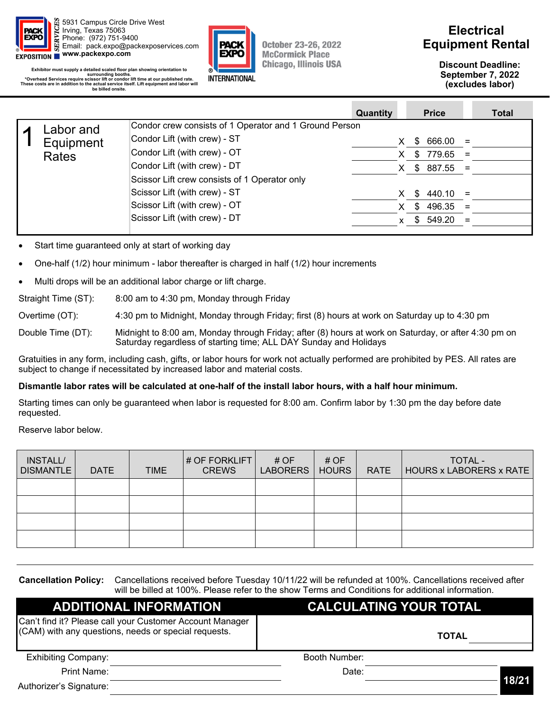

**Exhibitor must supply a detailed scaled floor plan showing orientation to**  surrounding booths.<br>Coverhead Services require scissor lift or condor lift time at our published rate. **\***<br>These costs are in addition to the actual service itself. Lift equipment and labor will **be billed onsite.** 



**October 23-26, 2022 McCormick Place Chicago, Illinois USA** 

### **Electrical Equipment Rental**

**Discount Deadline: September 7, 2022 (excludes labor)** 

|                                               | Quantity |                                                        | <b>Price</b>         |                      | <b>Total</b>                                                                       |
|-----------------------------------------------|----------|--------------------------------------------------------|----------------------|----------------------|------------------------------------------------------------------------------------|
|                                               |          |                                                        |                      |                      |                                                                                    |
| Condor Lift (with crew) - ST                  |          |                                                        |                      |                      |                                                                                    |
| Condor Lift (with crew) - OT                  |          |                                                        |                      |                      |                                                                                    |
| Condor Lift (with crew) - DT                  |          |                                                        |                      |                      |                                                                                    |
| Scissor Lift crew consists of 1 Operator only |          |                                                        |                      |                      |                                                                                    |
| Scissor Lift (with crew) - ST                 |          |                                                        |                      |                      |                                                                                    |
| Scissor Lift (with crew) - OT                 |          |                                                        |                      |                      |                                                                                    |
| Scissor Lift (with crew) - DT                 |          |                                                        |                      |                      |                                                                                    |
| Labor and<br>Equipment<br><b>Rates</b>        |          | Condor crew consists of 1 Operator and 1 Ground Person | X.<br>X.<br>X.<br>X. | S.<br>\$<br>S.<br>\$ | $666.00 =$<br>$779.65 =$<br>$$887.55 =$<br>$440.10 =$<br>$496.35 =$<br>$$549.20 =$ |

Start time guaranteed only at start of working day

- One-half (1/2) hour minimum labor thereafter is charged in half (1/2) hour increments
- Multi drops will be an additional labor charge or lift charge.

Straight Time (ST): 8:00 am to 4:30 pm, Monday through Friday

Overtime (OT): 4:30 pm to Midnight, Monday through Friday; first (8) hours at work on Saturday up to 4:30 pm

Double Time (DT): Midnight to 8:00 am, Monday through Friday; after (8) hours at work on Saturday, or after 4:30 pm on Saturday regardless of starting time; ALL DAY Sunday and Holidays

Gratuities in any form, including cash, gifts, or labor hours for work not actually performed are prohibited by PES. All rates are subject to change if necessitated by increased labor and material costs.

#### **Dismantle labor rates will be calculated at one-half of the install labor hours, with a half hour minimum.**

Starting times can only be guaranteed when labor is requested for 8:00 am. Confirm labor by 1:30 pm the day before date requested.

Reserve labor below.

| INSTALL/<br><b>DISMANTLE</b> | <b>DATE</b> | <b>TIME</b> | # OF FORKLIFT<br><b>CREWS</b> | # OF<br>LABORERS | # OF<br><b>HOURS</b> | <b>RATE</b> | TOTAL -<br><b>HOURS x LABORERS x RATE</b> |
|------------------------------|-------------|-------------|-------------------------------|------------------|----------------------|-------------|-------------------------------------------|
|                              |             |             |                               |                  |                      |             |                                           |
|                              |             |             |                               |                  |                      |             |                                           |
|                              |             |             |                               |                  |                      |             |                                           |
|                              |             |             |                               |                  |                      |             |                                           |

**Cancellation Policy:** Cancellations received before Tuesday 10/11/22 will be refunded at 100%. Cancellations received after will be billed at 100%. Please refer to the show Terms and Conditions for additional information.

| <b>ADDITIONAL INFORMATION</b>                                                                                    | <b>CALCULATING YOUR TOTAL</b> |              |  |  |  |  |  |  |  |  |
|------------------------------------------------------------------------------------------------------------------|-------------------------------|--------------|--|--|--|--|--|--|--|--|
| Can't find it? Please call your Customer Account Manager<br>(CAM) with any questions, needs or special requests. |                               | <b>TOTAL</b> |  |  |  |  |  |  |  |  |
| <b>Exhibiting Company:</b>                                                                                       | Booth Number:                 |              |  |  |  |  |  |  |  |  |
| Print Name:<br>Authorizer's Signature:                                                                           | Date:                         | 18/21        |  |  |  |  |  |  |  |  |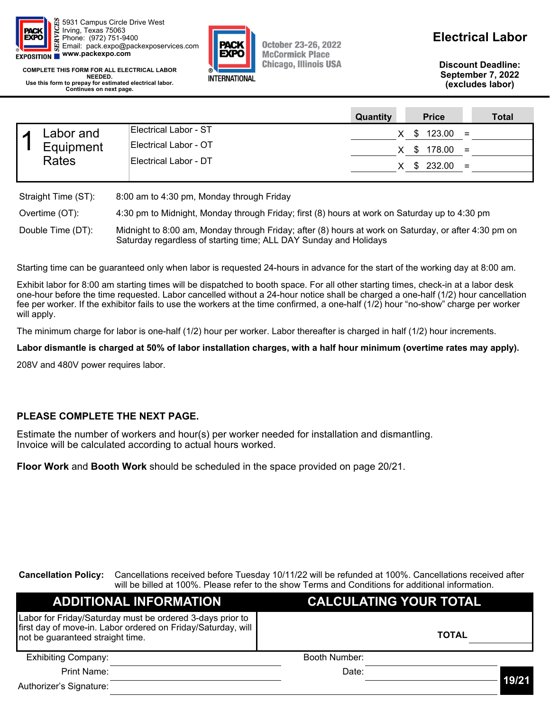

EYBO **INTERNATIONAL** 

**October 23-26, 2022 McCormick Place Chicago, Illinois USA**  **Electrical Labor** 

**Discount Deadline: September 7, 2022 (excludes labor)** 

**COMPLETE THIS FORM FOR ALL ELECTRICAL LABOR NEEDED. Use this form to prepay for estimated electrical labor. Continues on next page.** 

|                                        |                       |                                           | Quantity        | <b>Price</b> | <b>Total</b> |
|----------------------------------------|-----------------------|-------------------------------------------|-----------------|--------------|--------------|
| Labor and<br>Equipment<br><b>Rates</b> |                       | Electrical Labor - ST                     | X.              | $$123.00 =$  |              |
|                                        | Electrical Labor - OT | X.                                        | $$178.00 =$     |              |              |
|                                        | Electrical Labor - DT |                                           | $X$ \$ 232.00 = |              |              |
|                                        | Straight Time (ST):   | 8:00 am to 4:30 pm, Monday through Friday |                 |              |              |

| Overtime (OT):    | 4:30 pm to Midnight, Monday through Friday; first (8) hours at work on Saturday up to 4:30 pm                                                                             |
|-------------------|---------------------------------------------------------------------------------------------------------------------------------------------------------------------------|
| Double Time (DT): | Midnight to 8:00 am, Monday through Friday; after (8) hours at work on Saturday, or after 4:30 pm on<br>Saturday regardless of starting time; ALL DAY Sunday and Holidays |

Starting time can be guaranteed only when labor is requested 24-hours in advance for the start of the working day at 8:00 am.

Exhibit labor for 8:00 am starting times will be dispatched to booth space. For all other starting times, check-in at a labor desk one-hour before the time requested. Labor cancelled without a 24-hour notice shall be charged a one-half (1/2) hour cancellation fee per worker. If the exhibitor fails to use the workers at the time confirmed, a one-half (1/2) hour "no-show" charge per worker will apply.

The minimum charge for labor is one-half (1/2) hour per worker. Labor thereafter is charged in half (1/2) hour increments.

**Labor dismantle is charged at 50% of labor installation charges, with a half hour minimum (overtime rates may apply).** 

208V and 480V power requires labor.

#### **PLEASE COMPLETE THE NEXT PAGE.**

Estimate the number of workers and hour(s) per worker needed for installation and dismantling. Invoice will be calculated according to actual hours worked.

**Floor Work** and **Booth Work** should be scheduled in the space provided on page 20/21.

**Cancellation Policy:** Cancellations received before Tuesday 10/11/22 will be refunded at 100%. Cancellations received after will be billed at 100%. Please refer to the show Terms and Conditions for additional information.

| <b>ADDITIONAL INFORMATION</b>                                                                                                                                 | <b>CALCULATING YOUR TOTAL</b> |              |  |  |  |  |  |  |  |
|---------------------------------------------------------------------------------------------------------------------------------------------------------------|-------------------------------|--------------|--|--|--|--|--|--|--|
| Labor for Friday/Saturday must be ordered 3-days prior to<br>first day of move-in. Labor ordered on Friday/Saturday, will<br>not be guaranteed straight time. |                               | <b>TOTAL</b> |  |  |  |  |  |  |  |
| <b>Exhibiting Company:</b>                                                                                                                                    | Booth Number:                 |              |  |  |  |  |  |  |  |
| Print Name:                                                                                                                                                   | Date:                         |              |  |  |  |  |  |  |  |
| Authorizer's Signature:                                                                                                                                       |                               | 19/21        |  |  |  |  |  |  |  |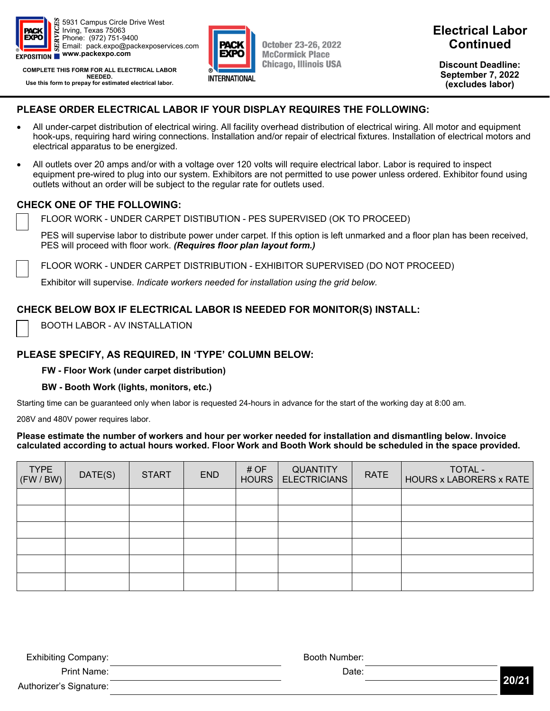

**COMPLETE THIS FORM FOR ALL ELECTRICAL LABOR NEEDED. Use this form to prepay for estimated electrical labor.** 



**October 23-26, 2022 McCormick Place Chicago, Illinois USA** 

### **Electrical Labor Continued**

**Discount Deadline: September 7, 2022 (excludes labor)** 

#### **PLEASE ORDER ELECTRICAL LABOR IF YOUR DISPLAY REQUIRES THE FOLLOWING:**

- All under-carpet distribution of electrical wiring. All facility overhead distribution of electrical wiring. All motor and equipment hook-ups, requiring hard wiring connections. Installation and/or repair of electrical fixtures. Installation of electrical motors and electrical apparatus to be energized.
- All outlets over 20 amps and/or with a voltage over 120 volts will require electrical labor. Labor is required to inspect equipment pre-wired to plug into our system. Exhibitors are not permitted to use power unless ordered. Exhibitor found using outlets without an order will be subject to the regular rate for outlets used.

#### **CHECK ONE OF THE FOLLOWING:**

FLOOR WORK - UNDER CARPET DISTIBUTION - PES SUPERVISED (OK TO PROCEED)

 PES will supervise labor to distribute power under carpet. If this option is left unmarked and a floor plan has been received, PES will proceed with floor work. *(Requires floor plan layout form.)*

FLOOR WORK - UNDER CARPET DISTRIBUTION - EXHIBITOR SUPERVISED (DO NOT PROCEED)

Exhibitor will supervise. *Indicate workers needed for installation using the grid below.*

#### **CHECK BELOW BOX IF ELECTRICAL LABOR IS NEEDED FOR MONITOR(S) INSTALL:**

BOOTH LABOR - AV INSTALLATION

#### **PLEASE SPECIFY, AS REQUIRED, IN 'TYPE' COLUMN BELOW:**

#### **FW - Floor Work (under carpet distribution)**

#### **BW - Booth Work (lights, monitors, etc.)**

Starting time can be guaranteed only when labor is requested 24-hours in advance for the start of the working day at 8:00 am.

208V and 480V power requires labor.

#### **Please estimate the number of workers and hour per worker needed for installation and dismantling below. Invoice calculated according to actual hours worked. Floor Work and Booth Work should be scheduled in the space provided.**

| <b>TYPE</b><br>(FW/BW) | DATE(S) | <b>START</b> | <b>END</b> | # OF<br>HOURS | <b>QUANTITY</b><br><b>ELECTRICIANS</b> | <b>RATE</b> | <b>TOTAL -</b><br>HOURS x LABORERS x RATE |
|------------------------|---------|--------------|------------|---------------|----------------------------------------|-------------|-------------------------------------------|
|                        |         |              |            |               |                                        |             |                                           |
|                        |         |              |            |               |                                        |             |                                           |
|                        |         |              |            |               |                                        |             |                                           |
|                        |         |              |            |               |                                        |             |                                           |
|                        |         |              |            |               |                                        |             |                                           |
|                        |         |              |            |               |                                        |             |                                           |

| <b>Exhibiting Company:</b> | Booth Number: |       |
|----------------------------|---------------|-------|
| Print Name:                | Date:         | 20/21 |
| Authorizer's Signature:    |               |       |